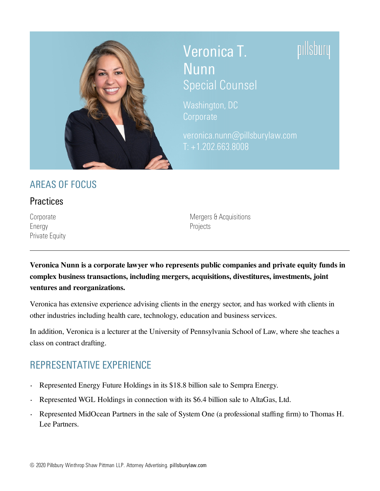

## Veronica T. Nunn

pıllsbury

# Special Counsel

[Washington,](https://www.pillsburylaw.com/en/offices/washington-dc.html) DC **[Corporate](https://www.pillsburylaw.com/en/services/corporate-and-transactional/)** 

[veronica.nunn@pillsburylaw.com](mailto:veronica.nunn@pillsburylaw.com) T: +1.202.663.8008

## AREAS OF FOCUS

#### **Practices**

[Energy](https://www.pillsburylaw.com/en/services/sectors/energy/) **[Projects](https://www.pillsburylaw.com/en/services/sectors/energy/projects.html)** [Private](https://www.pillsburylaw.com/en/services/corporate-and-transactional/private-equity.html) Equity

[Corporate](https://www.pillsburylaw.com/en/services/corporate-and-transactional/) Corporate Corporate Corporate Mergers & [Acquisitions](https://www.pillsburylaw.com/en/services/corporate-and-transactional/mergers-and-acquisitions.html)

**Veronica Nunn is a corporate lawyer who represents public companies and private equity funds in complex business transactions, including mergers, acquisitions, divestitures, investments, joint ventures and reorganizations.**

Veronica has extensive experience advising clients in the energy sector, and has worked with clients in other industries including health care, technology, education and business services.

In addition, Veronica is a lecturer at the University of Pennsylvania School of Law, where she teaches a class on contract drafting.

## REPRESENTATIVE EXPERIENCE

- Represented Energy Future Holdings in its \$18.8 billion sale to Sempra Energy. ●
- Represented WGL Holdings in connection with its \$6.4 billion sale to AltaGas, Ltd. ●
- Represented MidOcean Partners in the sale of System One (a professional staffing firm) to Thomas H. Lee Partners. ●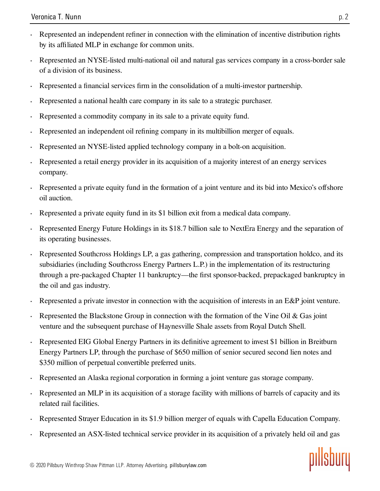- Represented an independent refiner in connection with the elimination of incentive distribution rights by its affiliated MLP in exchange for common units.
- Represented an NYSE-listed multi-national oil and natural gas services company in a cross-border sale of a division of its business.  $\ddot{\phantom{0}}$
- Represented a financial services firm in the consolidation of a multi-investor partnership.  $\bullet$
- Represented a national health care company in its sale to a strategic purchaser. ●
- Represented a commodity company in its sale to a private equity fund. ●
- Represented an independent oil refining company in its multibillion merger of equals.  $\ddot{\phantom{0}}$
- Represented an NYSE-listed applied technology company in a bolt-on acquisition. ●
- Represented a retail energy provider in its acquisition of a majority interest of an energy services company. ●
- Represented a private equity fund in the formation of a joint venture and its bid into Mexico's offshore oil auction. ●
- Represented a private equity fund in its \$1 billion exit from a medical data company. ●
- Represented Energy Future Holdings in its \$18.7 billion sale to NextEra Energy and the separation of its operating businesses. ●
- Represented Southcross Holdings LP, a gas gathering, compression and transportation holdco, and its subsidiaries (including Southcross Energy Partners L.P.) in the implementation of its restructuring through a pre-packaged Chapter 11 bankruptcy—the first sponsor-backed, prepackaged bankruptcy in the oil and gas industry. ●
- Represented a private investor in connection with the acquisition of interests in an E&P joint venture. ●
- Represented the Blackstone Group in connection with the formation of the Vine Oil & Gas joint venture and the subsequent purchase of Haynesville Shale assets from Royal Dutch Shell. ●
- Represented EIG Global Energy Partners in its definitive agreement to invest \$1 billion in Breitburn Energy Partners LP, through the purchase of \$650 million of senior secured second lien notes and \$350 million of perpetual convertible preferred units. ●
- Represented an Alaska regional corporation in forming a joint venture gas storage company. ●
- Represented an MLP in its acquisition of a storage facility with millions of barrels of capacity and its related rail facilities. ●
- Represented Strayer Education in its \$1.9 billion merger of equals with Capella Education Company. ●
- Represented an ASX-listed technical service provider in its acquisition of a privately held oil and gas